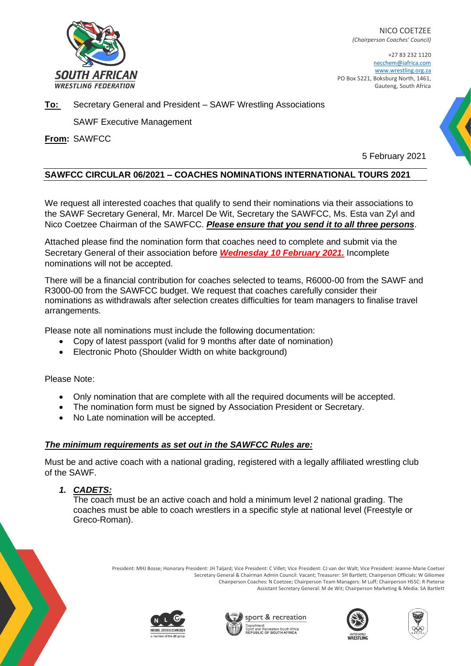

NICO COETZEE *(Chairperson Coaches' Council)*

+27 83 232 1120 necchem@iafrica.com [www.wrestling.org.za](http://www.wrestling.org.za/) PO Box 5221, Boksburg North, 1461, Gauteng, South Africa

#### **To:** Secretary General and President – SAWF Wrestling Associations

SAWF Executive Management

**From:** SAWFCC

5 February 2021

## **SAWFCC CIRCULAR 06/2021 – COACHES NOMINATIONS INTERNATIONAL TOURS 2021**

We request all interested coaches that qualify to send their nominations via their associations to the SAWF Secretary General, Mr. Marcel De Wit, Secretary the SAWFCC, Ms. Esta van Zyl and Nico Coetzee Chairman of the SAWFCC. *Please ensure that you send it to all three persons*.

Attached please find the nomination form that coaches need to complete and submit via the Secretary General of their association before *Wednesday 10 February 2021.* Incomplete nominations will not be accepted.

There will be a financial contribution for coaches selected to teams, R6000-00 from the SAWF and R3000-00 from the SAWFCC budget. We request that coaches carefully consider their nominations as withdrawals after selection creates difficulties for team managers to finalise travel arrangements.

Please note all nominations must include the following documentation:

- Copy of latest passport (valid for 9 months after date of nomination)
- Electronic Photo (Shoulder Width on white background)

Please Note:

- Only nomination that are complete with all the required documents will be accepted.
- The nomination form must be signed by Association President or Secretary.
- No Late nomination will be accepted.

## *The minimum requirements as set out in the SAWFCC Rules are:*

Must be and active coach with a national grading, registered with a legally affiliated wrestling club of the SAWF.

*1. CADETS:*

The coach must be an active coach and hold a minimum level 2 national grading. The coaches must be able to coach wrestlers in a specific style at national level (Freestyle or Greco-Roman).

> President: MHJ Bosse; Honorary President: JH Taljard; Vice President: C Villet; Vice President: CJ van der Walt; Vice President: Jeanne-Marie Coetser Secretary General & Chairman Admin Council: Vacant; Treasurer: SH Bartlett; Chairperson Officials: W Giliomee Chairperson Coaches: N Coetzee; Chairperson Team Managers: M Luff; Chairperson HSSC: R Pieterse Assistant Secretary General: M de Wit; Chairperson Marketing & Media: SA Bartlett